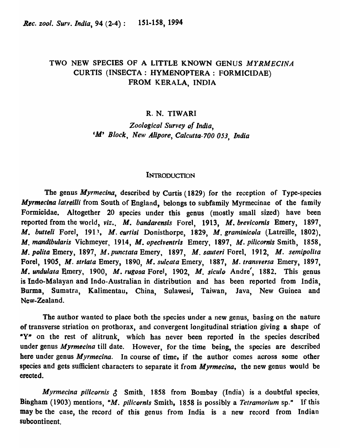# TWO NEW SPECIES OF A LITTLE KNOWN GENUS MYRMECINA CURTIS (INSECTA: HYMENOPTERA: FORMICIDAE) FROM KERALA, INDIA

### R. N. TIWARI

*Zoological Survey of India,*  eM' *Block, New Allpore, Calcutta-700 053, India* 

### **INTRODUCTION**

The genus *Myrmecina,* described by Curtis (1829) for the reception of Type-species *Myrmecina latreilli* from South of England, belongs to subfamily Myrmecinae of the family Formicidae. Altogether 20 species under this genus (mostly small sized) have been reported from the world, *viz., M. bandarensis* Forel, 1913, M. *brevieomis* Emery, 1897, *M. butteli* Forel, 1913, *M. curtisi* Donisthorpe, 1829, *M. graminicola* (Latreille, 1802), *M. mandibularis Vichmeyer*, 1914, *M. opeciventris Emery*, 1897, *M. pilicornis Smith*, 1858, *M. polita* Emery, 1897, *M.punetata* Emery, 1897, *M. sauteri* Forel, 1912, *M. semipolita*  Forel, 1905, *M. striata* Emery, 1890, *M. sulcata* Emery, 1887, *M. transversa* Emery, 1897, *M. undulata* Emery, 1900, *M. rugosa* Forel, 1902, *M. siculo* Andre', 1882. This genus is Indo-Malayan and Indo-Australian in distribution and has been reported from India, Burma, Sumatra, Kalimentau, China, Sulawesi, Taiwan, Java, New Guinea and New-Zealand.

The author wanted to place both the species under a new genus, basing on the nature of transverse striation on prothorax, and convergent longitudinal striation giving a shape of ·Y· on the rest of alitrunk, which has never been reported in the species described under genus *Myrmecina* till date. However, for the time being, the species are described here under genus *Myrmecina.* In course of time, if the author comes across some other species and gets sufficient characters to separate it from *Myrmecina,* the new genus would be erected.

*Myrmecina pilicornis*  $\uparrow$  Smith, 1858 from Bombay (India) is a doubtful species. Bingham (1903) mentions, "M. *pilicornis* Smith, 1858 is possibly a *Tetramorium* sp." If this may be the case, the record of this genus from India is a new record from Indian subcontinent.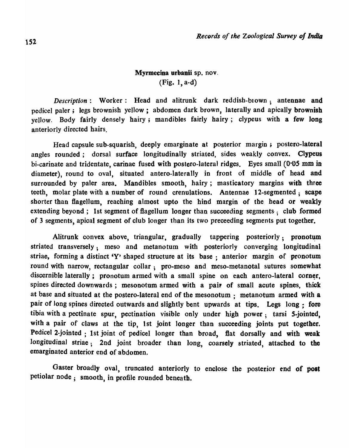## Myrmecina urbanii sp. nov. (Fig. ), a-d)

*Description*: Worker: Head and alitrunk dark reddish-brown; antennae and pedicel paler; legs brownish yellow; abdomen dark brown, laterally and apically brownish yellow. Body fairly densely hairy; mandibles fairly hairy; clypeus with a few long anteriorly directed hairs.

Head capsule sub-squarish, deeply emarginate at posterior margin; postero-lateral angles rounded; dorsal surface longitudinally striated, sides weakly convex. Clypeus hi-carinate and tridentate, carinae fused with postero-Iateral ridges. Eyes small (O·OS mm in diameter), round to oval, situated antero-Iaterally in front of middle of head and surrounded by paler area. Mandibles smooth, hairy; masticatory margins with three teeth, molar plate with a number of round crenulations. Antennae 12-segmented; scape shorter than flagellum, reaching almost upto the hind margin of the head or weakly extending beyond; 1st segment of flagellum longer than succeeding segments: club formed of 3 segments, apical segment of club longer than its two preceeding segments put together.

Alitrunk convex above, triangular, gradually tappering posteriorly; pronotum striated transversely; meso and metanotum with posteriorly converging longitudinal striae, forming a distinct 'Y' shaped structure at its base; anterior margin of pronotum round with narrow, rectangular collar; pro-meso and meso-metanotal sutures somewhat discernible laterally; pronotum armed with a small spine on each antero-lateral corner, spines directed downwards; mesonotum armed with a pair of small acute spines, thick at base and situated at the postero-lateral end of the mesonotum; metanotum armed with a pair of long spines directed outwards and slightly bent upwards at tips. Legs long: fore tibia with a pectinate spur, pectination visible only under high power; tarsi 5-jointed, with a pair of claws at the tip, 1st joint longer than succeeding joints put together. Pedicel 2-jointed ; 1st joint of pedicel longer than broad, flat dorsally and with weak longitudinal striae; 2nd joint broader than long, coarsely striated, attached to the emarginated anterior end of abdomen.

Gaster broadly oval, truncated anteriorly to enclose the posterior end of post petiolar node; smooth, in profile rounded beneath.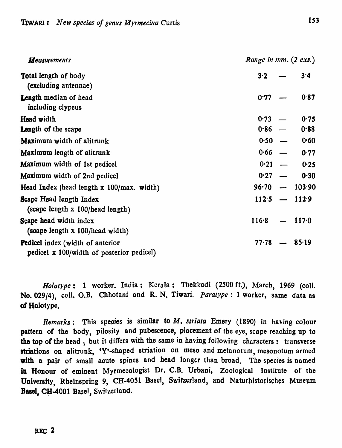| <b>Measurements</b>                                                                  | Range in mm. (2 exs.) |                 |
|--------------------------------------------------------------------------------------|-----------------------|-----------------|
| <b>Total length of body</b><br>(excluding antennae)                                  | 3.2                   | 3.4             |
| <b>Length median of head</b><br>including clypeus                                    | 0.77                  | 0.87            |
| <b>Head width</b>                                                                    | $0.73 -$              | 0.75            |
| Length of the scape                                                                  | $0.86 -$              | 0.88            |
| Maximum width of alitrunk                                                            | $0.50 -$              | 0.60            |
| <b>Maximum</b> length of alitrunk                                                    | $0.66$ —              | 0.77            |
| Maximum width of 1st pedicel                                                         | $0.21 -$              | 0.25            |
| Maximum width of 2nd pedicel                                                         | 0.27                  | 0.30            |
| Head Index (head length $x$ 100/max. width)                                          | $96 - 70$             | $-103.90$       |
| <b>Scape Head length Index</b><br>(scape length x 100/head length)                   |                       | $112.5 - 112.9$ |
| Scape head width index<br>(scape length x 100/head width)                            | 116.8                 | 117.0           |
| <b>Pedicel index (width of anterior</b><br>pedicel x 100/width of posterior pedicel) | $77 - 78$             | $-85.19$        |

*HD[otype:* 1 worker. India: Kerala: Thekkadi (2500 ft.), March, 1969 (coIl. No. 029/4), coll. O.B. Chhotani and R. N. Tiwari. *Paratype:* 1 worker, same data as of Holotype.

*Remarks*: This species is similar to *M. striata* Emery (1890) in having colour pattern of the body, pilosity and pubescence, placement of the eye, scape reaching up to the top of the head ; but it differs with the same in having following characters: transverse striations on alitrunk, 'Y'-shaped striation on meso and metanotum, mesonotum armed with a pair of small acute spines and head longer than broad. The species is named in Honour of eminent Myrmecologist Dr. C.B. Urbani, Zoological Institute of the University, Rheinspring 9, CH-4051 Basel, Switzerland, and Naturhistorisches Museum Basel, CH-4001 Basel, Switzerland.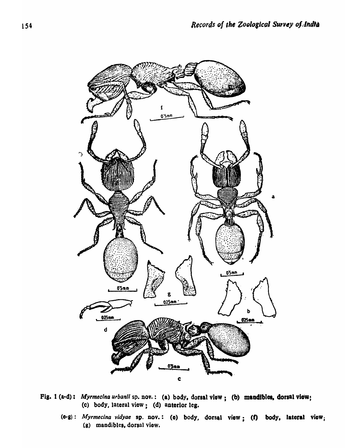

- Fig. 1 (a-d): *Myrmecina urbanii* sp. nov.: (a) body, dorsal view; (b) mandibles, dorsal view; (e) body, lateral view; (d) anterior leg-
	- (e-g): *Myrmecina vidyae* sp. nov.: (e) body, dorsal view; (f) body, lateral view; (g) mandibles, dorsal view.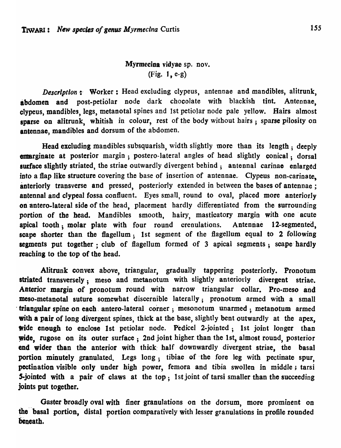## Myrmecina vidyae sp. nov. (Fig. J, e-g)

*Description*: Worker: Head excluding clypeus, antennae and mandibles, alitrunk, abdomen and post-petiolar node dark chocolate with blackish tint. Antennae, clypeus, mandibles, legs, metanotal spines and 1st petiolar node pale yellow. Hairs almost sparse on alitrunk, whitish in colour, rest of the body without hairs; sparse pilosity on antennae, mandibles and dorsum of the abdomen.

Head excluding mandibles subsquarish, width slightly more than its length; deeply emarginate at posterior margin; postero-lateral angles of head slightly conical; dorsal surface slightly striated, the striae outwardly divergent behind; antennal carinae enlarged into a flap like structure covering the base of insertion of antennae. Clypeus non-carinate. anteriorly transverse and pressed, posteriorly extended in between the bases of antennae: antennal and clypeal fossa confluent. Eyes small, round to oval, placed more anteriorly on antero-lateral side of the head, placement hardly differentiated from the surrounding portion of the head. Mandibles smooth, hairy, masticatory margin with one' acute apical tooth; molar plate with four round crenulations. Antennae l2-segmented, scape shorter than the flagellum; 1st segment of the flagellum equal to 2 following segments put together; club of flagellum formed of 3 apical segments; scape hardly reaching to the top of the head.

Alitrunk convex above, triangular, gradually tappering posteriorly. Pronotum striated transversely; meso and metanotum with slightly anteriorly divergent striae. Anterior margin of pronotum round with narrow triangular collar. Pro-meso and meso-metanotal suture somewhat discernible laterally; pronotum armed with a small . triangular spine on each. antero·lateral corner; 'mesonotum unarmed; metanotum armed with a pair of long divergent spines, thick at the base, slightly bent outwardly at the apex, wide enough to enclose 1st petiolar node. Pedicel 2-jointed; 1st joint longer than wide, rugose on its outer surface; 2nd joint higher than the 1st, almost rouad, posterior end wider than the anterior with thick half downwardly divergent striae, the basal portion minutely granulated. Legs long, tibiae of the fore leg with pectinate spur, pectination visible only under high power, femora and tibia swollen in middle; tarsi 5-jointed with a pair of claws at the top; 1st joint of tarsi smaller than the succeeding joints put together.

Gaster broadly oval with finer granulations on the dorsum, more prominent on the basal portion, distal portion comparatively with lesser granulations in profile rounded beneath.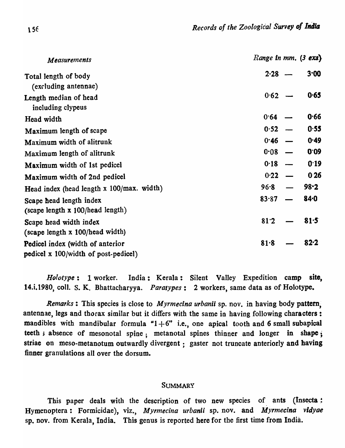| Measurements                                                             | Range in $mm.$ (3 exs) |
|--------------------------------------------------------------------------|------------------------|
| Total length of body<br>(excluding antennae)                             | 3.00<br>2.28           |
| Length median of head<br>including clypeus                               | 0.65<br>0.62           |
| Head width                                                               | 0.66<br>$0.64 -$       |
| Maximum length of scape                                                  | 0.55<br>0.52           |
| Maximum width of alitrunk                                                | $0.46 -$<br>0.49       |
| Maximum length of alitrunk                                               | 0.09<br>0.08           |
| Maximum width of 1st pedicel                                             | 0.19<br>0.18           |
| Maximum width of 2nd pedicel                                             | 0.26<br>0.22           |
| Head index (head length x 100/max. width)                                | $98 - 2$<br>$96 - 8$   |
| Scape head length index<br>(scape length x 100/head length)              | $84 - 0$<br>83.87      |
| Scape head width index<br>(scape length x 100/head width)                | 81.5<br>81.2           |
| Pedicel index (width of anterior<br>pedicel x 100/width of post-pedicel) | 82.2<br>81.8           |

*Holotype:* 1 worker. India: Kerala: Silent Valley Expedition camp site, 14.i.1980, coli. S. K. Bhattacharyya. *Paratypes:* 2 workers, same data as of Hoiotype\_

*Remarks:* This species is close to *Myrmecina urbanii* sp. nov. in having body pattem; antennae, legs and thorax similar but it differs with the same in having following characters: mandibles with mandibular formula " $1+6$ " i.e., one apical tooth and 6 small subapical teeth; absence of mesonotal spine; metanotal spines thinner and longer in shape; striae on meso-metanotum outwardly divergent : gaster not truncate anteriorly and having finner granulations all over the dorsum.

### **SUMMARY**

This paper deals with the description of two new species of ants (Insecta : Hymenoptera: Formicidae), viz., *Myrmecina urbanii* sp. nov. and *Myrmecina vidyae* sp. nov. from Kerala, India. This genus is reported here for the first time from India.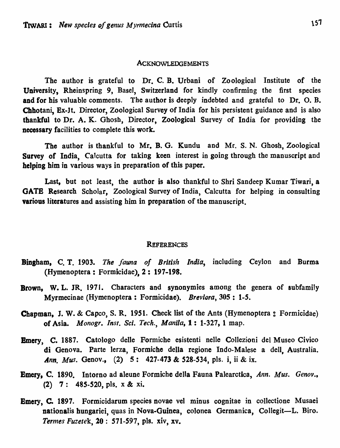### **ACKNOWLEDGEMENTS**

The author is grateful to Dr. C. B. Urbani of Zoological Institute of the University, Rheinspring 9, Basel, Switzerland for kindly confirming the first species and for his valuable comments. The author is deeply indebted and grateful to Dr. O. B. Chhotani, Ex-It. Director, Zoological Survey of India for his persistent guidance and is also thankful to Dr. A. K. Ghosh, Director, Zoological Survey of India for providing the necessary facilities to complete this work.

The author is thankful to Mr. B. G. Kundu and Mr. S. N. Ghosh, Zoological Survey of India, Calcutta for taking keen interest in going through the manuscript and helping him in various ways in preparation of this paper.

Last, but not least, the author is also thankful to Shri Sandeep Kumar Tiwari, a GATS Research Scholar, Zoological Survey of India, Calcutta for helping in consulting various literatures and assisting him in preparation of the manuscript.

#### **REFERENCES**

- Bingham, C. T. 1903. *The fauna of British India,* including Ceylon and Burma (Hymenoptera: Formicidae), 2: 197-198.
- Brown, W. L. JR. 1971. Characters and synonymies among the genera of subfamily Myrmecinae (Hymenoptera: Formicidae). *Breviora*, 305: 1-5.
- Chapman, J. W. & Capco, S. R. 1951. Check list of the Ants (Hymenoptera: Formicidae) of Asia. *Monogr. [nsf. Sci. Tech., Manila,* 1: 1-327, 1 map.
- Emery, C. 1887. Catologo delle Formiche esistenti nelle Collezioni del Museo Civico di Genova. Parte lerza, Formiche della regione Indo-Malese a dell, Australia. *.4nn. Mus.* Genov., (2) 5: 427-473 & 528-534, pIs. i, ii & ix.
- Emery, C. 1890. Intorno ad aleune Formiche della Fauna Palearctica, *Ann. Mus. Genov.,*  (2) 7: 485-520, pis. x & xi.
- Bmery, C. 1897. Formicidarum species novae vel minus cognitae in collectione Musaei nationalis hungariei, quas in Nova-Guinea, colonea Germanica, Collegit-L. Biro. *Termes Fuzetek,* 20: 571-597, pIs. xiv, xv.